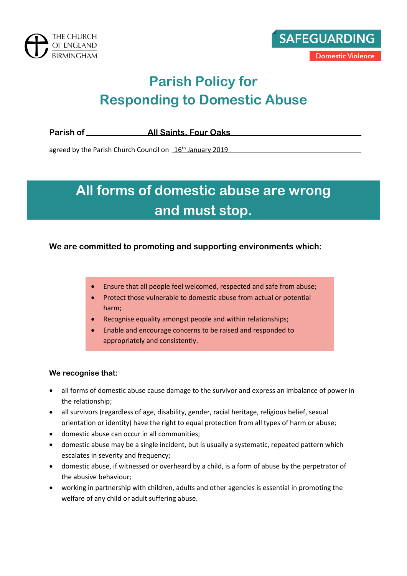



## **Parish Policy for Responding to Domestic Abuse**

**Parish of All Saints, Four Oaks**

agreed by the Parish Church Council on  $16<sup>th</sup>$  January 2019

# **All forms of domestic abuse are wrong and must stop.**

### **We are committed to promoting and supporting environments which:**

- Ensure that all people feel welcomed, respected and safe from abuse;
- Protect those vulnerable to domestic abuse from actual or potential harm;
- Recognise equality amongst people and within relationships;
- Enable and encourage concerns to be raised and responded to appropriately and consistently.

#### **We recognise that:**

- all forms of domestic abuse cause damage to the survivor and express an imbalance of power in the relationship;
- all survivors (regardless of age, disability, gender, racial heritage, religious belief, sexual orientation or identity) have the right to equal protection from all types of harm or abuse;
- domestic abuse can occur in all communities;
- domestic abuse may be a single incident, but is usually a systematic, repeated pattern which escalates in severity and frequency;
- domestic abuse, if witnessed or overheard by a child, is a form of abuse by the perpetrator of the abusive behaviour;
- working in partnership with children, adults and other agencies is essential in promoting the welfare of any child or adult suffering abuse.